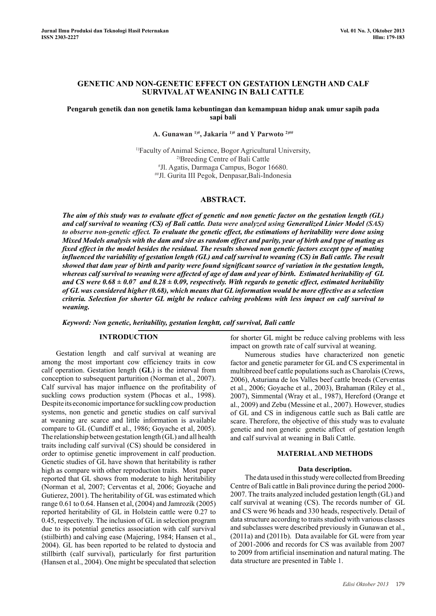# **Genetic and Non-Genetic effect on Gestation Length and Calf Survival at Weaning in Bali Cattle**

## **Pengaruh genetik dan non genetik lama kebuntingan dan kemampuan hidup anak umur sapih pada sapi bali**

# **A. Gunawan 1)#, Jakaria 1)# and Y Parwoto 2)##**

1)Faculty of Animal Science, Bogor Agricultural University, <sup>2)</sup>Breeding Centre of Bali Cattle Jl. Agatis, Darmaga Campus, Bogor 16680. ##Jl. Gurita III Pegok, Denpasar,Bali-Indonesia

## **Abstract.**

*The aim of this study was to evaluate effect of genetic and non genetic factor on the gestation length (GL) and calf survival to weaning (CS) of Bali cattle. Data were analyzed using Generalized Linier Model (SAS) to observe non-genetic effect. To evaluate the genetic effect, the estimations of heritability were done using Mixed Models analysis with the dam and sire as random effect and parity, year of birth and type of mating as fixed effect in the model besides the residual. The results showed non genetic factors except type of mating influenced the variability of gestation length (GL) and calf survival to weaning (CS) in Bali cattle. The result showed that dam year of birth and parity were found significant source of variation in the gestation length, whereas calf survival to weaning were affected of age of dam and year of birth. Estimated heritability of GL and CS were 0.68 ± 0.07 and 0.28 ± 0.09, respectively. With regards to genetic effect, estimated heritability of GL was considered higher (0.68), which means that GL information would be more effective as a selection criteria. Selection for shorter GL might be reduce calving problems with less impact on calf survival to weaning.*

*Keyword: Non genetic, heritability, gestation lenghtt, calf survival, Bali cattle*

#### **Introduction**

Gestation length and calf survival at weaning are among the most important cow efficiency traits in cow calf operation. Gestation length (**GL**) is the interval from conception to subsequent parturition (Norman et al., 2007). Calf survival has major influence on the profitability of suckling cows production system (Phocas et al., 1998). Despite its economic importance for suckling cow production systems, non genetic and genetic studies on calf survival at weaning are scarce and little information is available compare to GL (Cundiff et al., 1986; Goyache et al, 2005). The relationship between gestation length (GL) and all health traits including calf survival (CS) should be considered in order to optimise genetic improvement in calf production. Genetic studies of GL have shown that heritability is rather high as compare with other reproduction traits. Most paper reported that GL shows from moderate to high heritability (Norman et al, 2007; Cerventas et al, 2006; Goyache and Gutierez, 2001). The heritability of GL was estimated which range 0.61 to 0.64. Hansen et al, (2004) and Jamrozik (2005) reported heritability of GL in Holstein cattle were 0.27 to 0.45, respectively. The inclusion of GL in selection program due to its potential genetics association with calf survival (stiilbirth) and calving ease (Majering, 1984; Hansen et al., 2004). GL has been reported to be related to dystocia and stillbirth (calf survival), particularly for first parturition (Hansen et al., 2004). One might be speculated that selection

for shorter GL might be reduce calving problems with less impact on growth rate of calf survival at weaning.

Numerous studies have characterized non genetic factor and genetic parameter for GL and CS experimental in multibreed beef cattle populations such as Charolais (Crews, 2006), Asturiana de los Valles beef cattle breeds (Cerventas et al., 2006; Goyache et al., 2003), Brahaman (Riley et al., 2007), Simmental (Wray et al., 1987), Hereford (Orange et al., 2009) and Zebu (Messine et al., 2007). However, studies of GL and CS in indigenous cattle such as Bali cattle are scare. Therefore, the objective of this study was to evaluate genetic and non genetic genetic affect of gestation length and calf survival at weaning in Bali Cattle.

#### **Material and Methods**

#### **Data description.**

The data used in this study were collected from Breeding Centre of Bali cattle in Bali province during the period 2000- 2007. The traits analyzed included gestation length (GL) and calf survival at weaning (CS). The records number of GL and CS were 96 heads and 330 heads, respectively. Detail of data structure according to traits studied with various classes and subclasses were described previously in Gunawan et al., (2011a) and (2011b). Data available for GL were from year of 2001-2006 and records for CS was available from 2007 to 2009 from artificial insemination and natural mating. The data structure are presented in Table 1.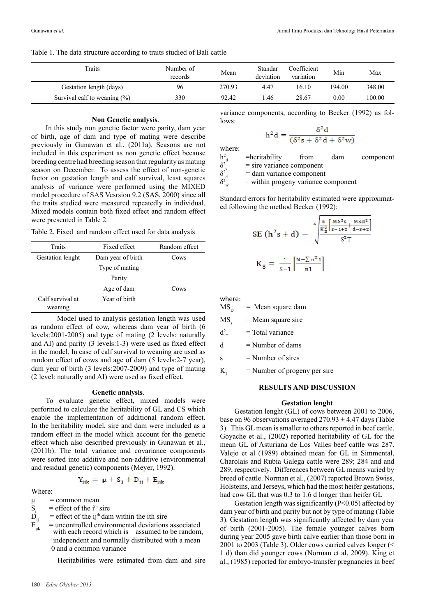Table 1. The data structure according to traits studied of Bali cattle

| Traits                           | Number of<br>records | Mean   | Standar<br>deviation | Coefficient<br>variation | Min    | Max    |
|----------------------------------|----------------------|--------|----------------------|--------------------------|--------|--------|
| Gestation length (days)          | 96                   | 270.93 | 4.47                 | 16.10                    | 194.00 | 348.00 |
| Survival calf to weaning $(\% )$ | 330                  | 92.42  | .46                  | 28.67                    | 0.00   | 100.00 |

#### **Non Genetic analysis**.

In this study non genetic factor were parity, dam year of birth, age of dam and type of mating were describe previously in Gunawan et al., (2011a). Seasons are not included in this experiment as non genetic effect because breeding centre had breeding season that regularity as mating season on December. To assess the effect of non-genetic factor on gestation length and calf survival, least squares analysis of variance were performed using the MIXED model procedure of SAS Vesrsion 9.2 (SAS, 2000) since all the traits studied were measured repeatedly in individual. Mixed models contain both fixed effect and random effect were presented in Table 2.

Table 2. Fixed and random effect used for data analysis

| Fixed effect      | Random effect |  |  |
|-------------------|---------------|--|--|
| Dam year of birth | Cows          |  |  |
| Type of mating    |               |  |  |
| Parity            |               |  |  |
| Age of dam        | Cows          |  |  |
| Year of birth     |               |  |  |
|                   |               |  |  |

Model used to analysis gestation length was used as random effect of cow, whereas dam year of birth (6 levels:2001-2005) and type of mating (2 levels: naturally and AI) and parity (3 levels:1-3) were used as fixed effect in the model. In case of calf survival to weaning are used as random effect of cows and age of dam (5 levels:2-7 year), dam year of birth (3 levels:2007-2009) and type of mating (2 level: naturally and AI) were used as fixed effect.

#### **Genetic analysis**.

To evaluate genetic effect, mixed models were performed to calculate the heritability of GL and CS which enable the implementation of additional random effect. In the heritability model, sire and dam were included as a random effect in the model which account for the genetic effect which also described previously in Gunawan et al., (2011b). The total variance and covariance components were sorted into additive and non-additive (environmental and residual genetic) components (Meyer, 1992).

$$
Y_{ijk} = \mu + S_1 + D_{ij} + E_{ijk}
$$

Where:

- $\mu$  = common mean
- $S_i$ <br> $D_i$  $=$  effect of the i<sup>th</sup> sire
- 
- $D_{ij}$  = effect of the ij<sup>th</sup> dam within the ith sire<br>  $E_{ijk}$  = uncontrolled environmental deviations  $=$  uncontrolled environmental deviations associated with each record which is assumed to be random, independent and normally distributed with a mean 0 and a common variance

Heritabilities were estimated from dam and sire

variance components, according to Becker (1992) as follows:  $\sim$ 

$$
h^2 d = \frac{\delta^2 d}{(\delta^2 s + \delta^2 d + \delta^2 w)}
$$

where:

 $h^2_{d}$  =heritability from dam component  $\delta^2$  $\delta^2$ <sub>d</sub><br> $\delta^2$ <sub>u</sub> = sire variance component

= dam variance component

 $=$  within progeny variance component

Standard errors for heritability estimated were approximated following the method Becker (1992):

$$
SE(h2s + d) = \sqrt[4]{\frac{\frac{2}{K_{3}^{2}} \left[\frac{MS^{2} s}{s-1+2} + \frac{MSd^{2}}{d-s+2}\right]}{S^{2}T}}
$$

$$
K_{3} = \frac{1}{S-1} \left[\frac{N - \sum n^{2} 1}{n1}\right]
$$

where:

 $MS<sub>n</sub>$  = Mean square dam  $MS$  = Mean square sire  $d_{\rm T}^2$  $=$  Total variance  $d =$ Number of dams  $s =$  Number of sires

 $K<sub>3</sub>$  = Number of progeny per sire

#### **Results and Discussion**

# **Gestation lenght**

Gestation lenght (GL) of cows between 2001 to 2006, base on 96 observations averaged  $270.93 \pm 4.47$  days (Table 3). This GL mean is smaller to others reported in beef cattle. Goyache et al., (2002) reported heritability of GL for the mean GL of Asturiana de Los Valles beef cattle was 287. Valejo et al (1989) obtained mean for GL in Simmental, Charolais and Rubia Galega cattle were 289; 284 and and 289, respectively. Differences between GL means varied by breed of cattle. Norman et al., (2007) reported Brown Swiss, Holsteins, and Jerseys, which had the most heifer gestations, had cow GL that was 0.3 to 1.6 d longer than heifer GL

Gestation length was significantly  $(P<0.05)$  affected by dam year of birth and parity but not by type of mating (Table 3). Gestation length was significantly affected by dam year of birth (2001-2005). The female younger calves born during year 2005 gave birth calve earlier than those born in 2001 to 2003 (Table 3). Older cows carried calves longer (< 1 d) than did younger cows (Norman et al, 2009). King et al., (1985) reported for embryo-transfer pregnancies in beef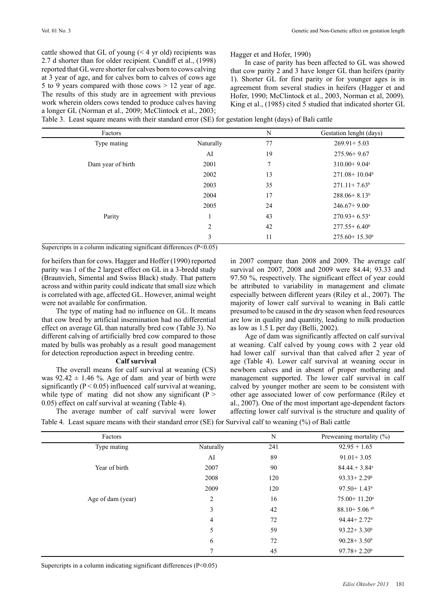cattle showed that GL of young  $(< 4$  yr old) recipients was 2.7 d shorter than for older recipient. Cundiff et al., (1998) reported that GL were shorter for calves born to cows calving at 3 year of age, and for calves born to calves of cows age 5 to 9 years compared with those cows > 12 year of age. The results of this study are in agreement with previous work wherein olders cows tended to produce calves having a longer GL (Norman et al., 2009; McClintock et al., 2003;

Hagger et and Hofer, 1990)

In case of parity has been affected to GL was showed that cow parity 2 and 3 have longer GL than heifers (parity 1). Shorter GL for first parity or for younger ages is in agreement from several studies in heifers (Hagger et and Hofer, 1990; McClintock et al., 2003, Norman et al, 2009). King et al., (1985) cited 5 studied that indicated shorter GL

Table 3. Least square means with their standard error (SE) for gestation lenght (days) of Bali cattle

| Factors           |                | N             | Gestation lenght (days)       |
|-------------------|----------------|---------------|-------------------------------|
| Type mating       | Naturally      | 77            | $269.91 + 5.03$               |
|                   | AI             | 19            | $275.96 + 9.67$               |
| Dam year of birth | 2001           | $\mathcal{I}$ | $310.00 + 9.04$ <sup>a</sup>  |
|                   | 2002           | 13            | $271.08 + 10.04$ <sup>b</sup> |
|                   | 2003           | 35            | $271.11+7.63b$                |
|                   | 2004           | 17            | $288.06 + 8.13b$              |
|                   | 2005           | 24            | $246.67 + 9.00^{\circ}$       |
| Parity            | -1             | 43            | $270.93 + 6.53$ <sup>a</sup>  |
|                   | $\overline{2}$ | 42            | $277.55 + 6.40^b$             |
|                   | 3              | 11            | $275.60 + 15.30^b$            |

Supercripts in a column indicating significant differences  $(P<0.05)$ 

for heifers than for cows. Hagger and Hoffer (1990) reported parity was 1 of the 2 largest effect on GL in a 3-bredd study (Braunvieh, Simental and Swiss Black) study. That pattern across and within parity could indicate that small size which is correlated with age, affected GL. However, animal weight were not available for confirmation.

The type of mating had no influence on GL. It means that cow bred by artificial insemination had no differential effect on average GL than naturally bred cow (Table 3). No different calving of artificially bred cow compared to those mated by bulls was probably as a result good management for detection reproduction aspect in breeding centre.

#### **Calf survival**

The average number of calf survival were lower

The overall means for calf survival at weaning (CS) was  $92.42 \pm 1.46$  %. Age of dam and year of birth were significantly ( $P < 0.05$ ) influenced calf survival at weaning, while type of mating did not show any significant ( $P >$ 0.05) effect on calf survival at weaning (Table 4).

in 2007 compare than 2008 and 2009. The average calf survival on 2007, 2008 and 2009 were 84.44; 93.33 and 97.50 %, respectively. The significant effect of year could be attributed to variability in management and climate especially between different years (Riley et al., 2007). The majority of lower calf survival to weaning in Bali cattle presumed to be caused in the dry season when feed resources are low in quality and quantity, leading to milk production as low as 1.5 L per day (Belli, 2002).

Age of dam was significantly affected on calf survival at weaning. Calf calved by young cows with 2 year old had lower calf survival than that calved after 2 year of age (Table 4). Lower calf survival at weaning occur in newborn calves and in absent of proper mothering and management supported. The lower calf survival in calf calved by younger mother are seem to be consistent with other age associated lower of cow performance (Riley et al., 2007). One of the most important age-dependent factors affecting lower calf survival is the structure and quality of

Table 4. Least square means with their standard error (SE) for Survival calf to weaning (%) of Bali cattle

| Factors           |                | N   | Preweaning mortality (%)     |
|-------------------|----------------|-----|------------------------------|
| Type mating       | Naturally      | 241 | $92.95 + 1.65$               |
|                   | AI             | 89  | $91.01 + 3.05$               |
| Year of birth     | 2007           | 90  | $84.44 + 3.84$ <sup>a</sup>  |
|                   | 2008           | 120 | $93.33 + 2.29$ <sup>b</sup>  |
|                   | 2009           | 120 | $97.50 + 1.43$ <sup>b</sup>  |
| Age of dam (year) | $\overline{c}$ | 16  | $75.00 + 11.20$ <sup>a</sup> |
|                   | 3              | 42  | $88.10 + 5.06$ <sup>ab</sup> |
|                   | 4              | 72  | $94.44 + 2.72^b$             |
|                   | 5              | 59  | $93.22 + 3.30^b$             |
|                   | 6              | 72  | $90.28 + 3.50^b$             |
|                   |                | 45  | $97.78 + 2.20^b$             |

Supercripts in a column indicating significant differences  $(P<0.05)$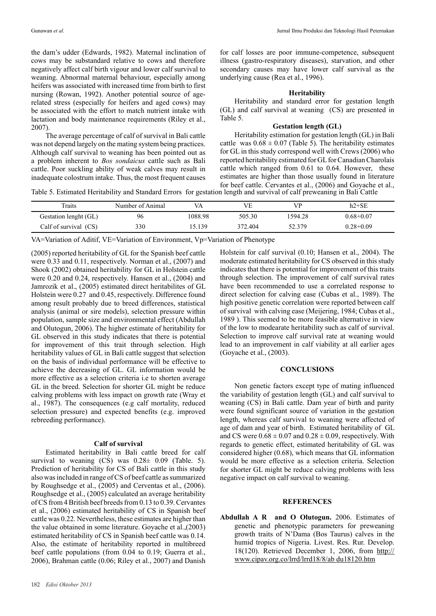the dam's udder (Edwards, 1982). Maternal inclination of cows may be substandard relative to cows and therefore negatively affect calf birth vigour and lower calf survival to weaning. Abnormal maternal behaviour, especially among heifers was associated with increased time from birth to first nursing (Rowan, 1992). Another potential source of agerelated stress (especially for heifers and aged cows) may be associated with the effort to match nutrient intake with lactation and body maintenance requirements (Riley et al., 2007).

The average percentage of calf of survival in Bali cattle was not depend largely on the mating system being practices. Although calf survival to weaning has been pointed out as a problem inherent to *Bos sondaicus* cattle such as Bali cattle. Poor suckling ability of weak calves may result in inadequate colostrum intake. Thus, the most frequent causes

for calf losses are poor immune-competence, subsequent illness (gastro-respiratory diseases), starvation, and other secondary causes may have lower calf survival as the underlying cause (Rea et al., 1996).

## **Heritability**

Heritability and standard error for gestation length (GL) and calf survival at weaning (CS) are presented in Table 5.

## **Gestation length (GL)**

Heritability estimation for gestation length (GL) in Bali cattle was  $0.68 \pm 0.07$  (Table 5). The heritability estimates for GL in this study correspond well with Crews (2006) who reported heritability estimated for GL for Canadian Charolais cattle which ranged from 0.61 to 0.64. However, these estimates are higher than those usually found in literature for beef cattle. Cervantes et al., (2006) and Goyache et al.,

Table 5. Estimated Heritability and Standard Errors for gestation length and survival of calf preweaning in Bali Cattle

| Traits                | Number of Animal | VA      | <b>VE</b> | VP      | $h2 + SE$     |
|-----------------------|------------------|---------|-----------|---------|---------------|
| Gestation lenght (GL) | 96               | 1088.98 | 505.30    | 1594.28 | $0.68 + 0.07$ |
| Calf of survival (CS) | 330              | 15.139  | 372.404   | 52.379  | $0.28 + 0.09$ |

VA=Variation of Aditif, VE=Variation of Environment, Vp=Variation of Phenotype

(2005) reported heritability of GL for the Spanish beef cattle were 0.33 and 0.11, respectively. Norman et al., (2007) and Shook (2002) obtained heritability for GL in Holstein cattle were 0.20 and 0.24, respectively. Hansen et al., (2004) and Jamrozik et al., (2005) estimated direct heritabilites of GL Holstein were 0.27 and 0.45, respectively. Difference found among result probably due to breed differences, statistical analysis (animal or sire models), selection pressure within population, sample size and environmental effect (Abdullah and Olutogun, 2006). The higher estimate of heritability for GL observed in this study indicates that there is potential for improvement of this trait through selection. High heritability values of GL in Bali cattle suggest that selection on the basis of individual performance will be effective to achieve the decreasing of GL. GL information would be more effective as a selection criteria i.e to shorten average GL in the breed. Selection for shorter GL might be reduce calving problems with less impact on growth rate (Wray et al., 1987). The consequences (e.g calf mortality, reduced selection pressure) and expected benefits (e.g. improved rebreeding performance).

### **Calf of survival**

Estimated heritability in Bali cattle breed for calf survival to weaning (CS) was 0.28± 0.09 (Table. 5). Prediction of heritability for CS of Bali cattle in this study also was included in range of CS of beef cattle as summarized by Roughsedge et al., (2005) and Cerventas et al., (2006). Roughsedge et al., (2005) calculated an average heritability of CS from 4 British beef breeds from 0.13 to 0.39. Cervantes et al., (2006) estimated heritability of CS in Spanish beef cattle was 0.22. Nevertheless, these estimates are higher than the value obtained in some literature. Goyache et al.,(2003) estimated heritability of CS in Spanish beef cattle was 0.14. Also, the estimate of heritability reported in multibreed beef cattle populations (from 0.04 to 0.19; Guerra et al., 2006), Brahman cattle (0.06; Riley et al., 2007) and Danish

Holstein for calf survival (0.10; Hansen et al., 2004). The moderate estimated heritability for CS observed in this study indicates that there is potential for improvement of this traits through selection. The improvement of calf survival rates have been recommended to use a correlated response to direct selection for calving ease (Cubas et al., 1989). The high positive genetic correlation were reported between calf of survival with calving ease (Meijering, 1984; Cubas et al., 1989 ). This seemed to be more feasible alternative in view of the low to modearate heritability such as calf of survival. Selection to improve calf survival rate at weaning would lead to an improvement in calf viability at all earlier ages (Goyache et al., (2003).

#### **Conclusions**

Non genetic factors except type of mating influenced the variability of gestation length (GL) and calf survival to weaning (CS) in Bali cattle. Dam year of birth and parity were found significant source of variation in the gestation length, whereas calf survival to weaning were affected of age of dam and year of birth. Estimated heritability of GL and CS were  $0.68 \pm 0.07$  and  $0.28 \pm 0.09$ , respectively. With regards to genetic effect, estimated heritability of GL was considered higher (0.68), which means that GL information would be more effective as a selection criteria. Selection for shorter GL might be reduce calving problems with less negative impact on calf survival to weaning.

## **References**

**Abdullah A R and O Olutogun.** 2006. Estimates of genetic and phenotypic parameters for preweaning growth traits of N'Dama (Bos Taurus) calves in the humid tropics of Nigeria. Livest. Res. Rur. Develop. 18(120). Retrieved December 1, 2006, from http:// www.cipav.org.co/lrrd/lrrd18/8/ab du18120.htm